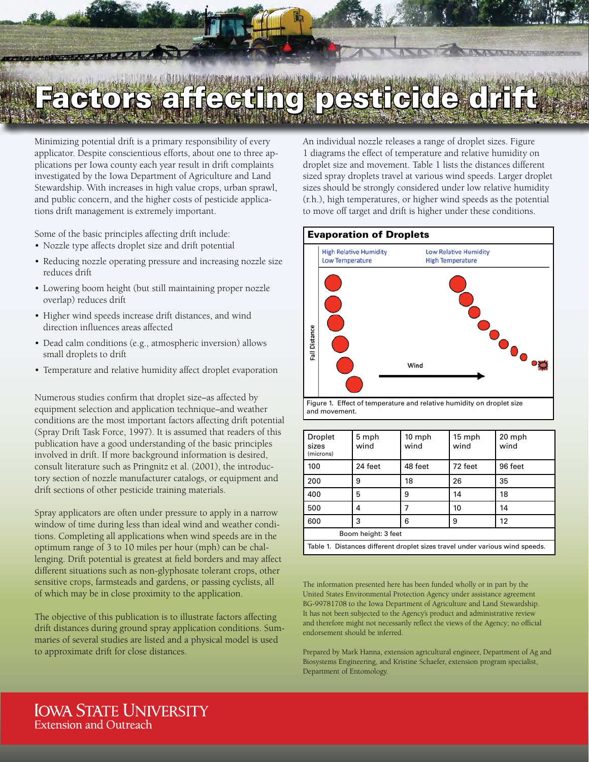## Factors affecting pesticide drift

 $\overline{a}$ 

Minimizing potential drift is a primary responsibility of every applicator. Despite conscientious efforts, about one to three applications per Iowa county each year result in drift complaints investigated by the Iowa Department of Agriculture and Land Stewardship. With increases in high value crops, urban sprawl, and public concern, and the higher costs of pesticide applications drift management is extremely important.

Some of the basic principles affecting drift include:

- Nozzle type affects droplet size and drift potential
- Reducing nozzle operating pressure and increasing nozzle size reduces drift
- Lowering boom height (but still maintaining proper nozzle overlap) reduces drift
- Higher wind speeds increase drift distances, and wind direction influences areas affected
- Dead calm conditions (e.g., atmospheric inversion) allows small droplets to drift
- Temperature and relative humidity affect droplet evaporation

Numerous studies confirm that droplet size–as affected by equipment selection and application technique–and weather conditions are the most important factors affecting drift potential (Spray Drift Task Force, 1997). It is assumed that readers of this publication have a good understanding of the basic principles involved in drift. If more background information is desired, consult literature such as Pringnitz et al. (2001), the introductory section of nozzle manufacturer catalogs, or equipment and drift sections of other pesticide training materials.

Spray applicators are often under pressure to apply in a narrow window of time during less than ideal wind and weather conditions. Completing all applications when wind speeds are in the optimum range of 3 to 10 miles per hour (mph) can be challenging. Drift potential is greatest at field borders and may affect different situations such as non-glyphosate tolerant crops, other sensitive crops, farmsteads and gardens, or passing cyclists, all of which may be in close proximity to the application.

The objective of this publication is to illustrate factors affecting drift distances during ground spray application conditions. Summaries of several studies are listed and a physical model is used to approximate drift for close distances.

An individual nozzle releases a range of droplet sizes. Figure 1 diagrams the effect of temperature and relative humidity on droplet size and movement. Table 1 lists the distances different sized spray droplets travel at various wind speeds. Larger droplet sizes should be strongly considered under low relative humidity (r.h.), high temperatures, or higher wind speeds as the potential to move off target and drift is higher under these conditions.

## Evaporation of Droplets



| <b>Droplet</b><br>sizes<br>(microns)                                         | 5 mph<br>wind | 10 mph<br>wind | 15 mph<br>wind | 20 mph<br>wind |
|------------------------------------------------------------------------------|---------------|----------------|----------------|----------------|
| 100                                                                          | 24 feet       | 48 feet        | 72 feet        | 96 feet        |
| 200                                                                          | 9             | 18             | 26             | 35             |
| 400                                                                          | 5             | 9              | 14             | 18             |
| 500                                                                          | 4             |                | 10             | 14             |
| 600                                                                          | 3             | 6              | 9              | 12             |
| Boom height: 3 feet                                                          |               |                |                |                |
| Table 1. Distances different droplet sizes travel under various wind speeds. |               |                |                |                |

The information presented here has been funded wholly or in part by the United States Environmental Protection Agency under assistance agreement BG-99781708 to the Iowa Department of Agriculture and Land Stewardship. It has not been subjected to the Agency's product and administrative review and therefore might not necessarily reflect the views of the Agency; no official endorsement should be inferred.

Prepared by Mark Hanna, extension agricultural engineer, Department of Ag and Biosystems Engineering, and Kristine Schaefer, extension program specialist, Department of Entomology.